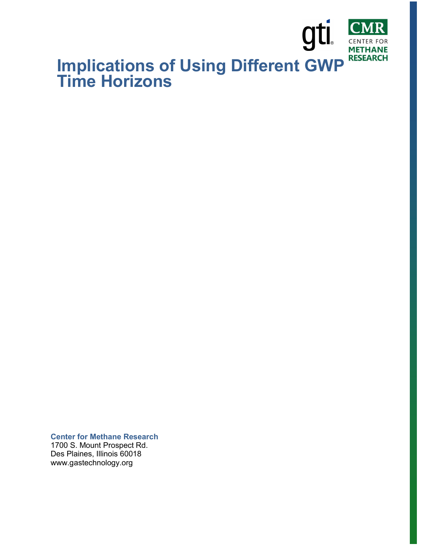

**Center for Methane Research**  1700 S. Mount Prospect Rd. Des Plaines, Illinois 60018

www.gastechnology.org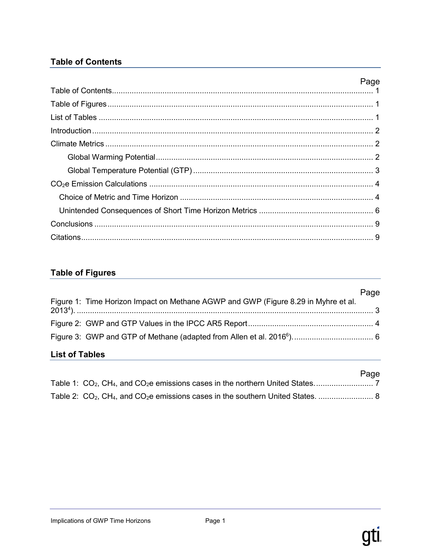# **Table of Contents**

| Page |
|------|
|      |
|      |
|      |
|      |
|      |
|      |
|      |
|      |
|      |
|      |
|      |
|      |

# **Table of Figures**

| List of Tables |                                                                                    |      |
|----------------|------------------------------------------------------------------------------------|------|
|                |                                                                                    |      |
|                |                                                                                    |      |
|                | Figure 1: Time Horizon Impact on Methane AGWP and GWP (Figure 8.29 in Myhre et al. | Page |

#### **LIST OF TADIES**

|  |  |  | Page |
|--|--|--|------|
|  |  |  |      |
|  |  |  |      |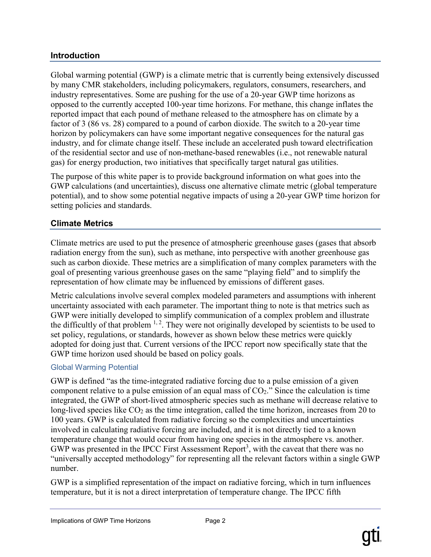#### **Introduction**

Global warming potential (GWP) is a climate metric that is currently being extensively discussed by many CMR stakeholders, including policymakers, regulators, consumers, researchers, and industry representatives. Some are pushing for the use of a 20-year GWP time horizons as opposed to the currently accepted 100-year time horizons. For methane, this change inflates the reported impact that each pound of methane released to the atmosphere has on climate by a factor of 3 (86 vs. 28) compared to a pound of carbon dioxide. The switch to a 20-year time horizon by policymakers can have some important negative consequences for the natural gas industry, and for climate change itself. These include an accelerated push toward electrification of the residential sector and use of non-methane-based renewables (i.e., not renewable natural gas) for energy production, two initiatives that specifically target natural gas utilities.

The purpose of this white paper is to provide background information on what goes into the GWP calculations (and uncertainties), discuss one alternative climate metric (global temperature potential), and to show some potential negative impacts of using a 20-year GWP time horizon for setting policies and standards.

#### **Climate Metrics**

Climate metrics are used to put the presence of atmospheric greenhouse gases (gases that absorb radiation energy from the sun), such as methane, into perspective with another greenhouse gas such as carbon dioxide. These metrics are a simplification of many complex parameters with the goal of presenting various greenhouse gases on the same "playing field" and to simplify the representation of how climate may be influenced by emissions of different gases.

Metric calculations involve several complex modeled parameters and assumptions with inherent uncertainty associated with each parameter. The important thing to note is that metrics such as GWP were initially developed to simplify communication of a complex problem and illustrate the difficultly of that problem  $1, 2$ . They were not originally developed by scientists to be used to set policy, regulations, or standards, however as shown below these metrics were quickly adopted for doing just that. Current versions of the IPCC report now specifically state that the GWP time horizon used should be based on policy goals.

#### Global Warming Potential

GWP is defined "as the time-integrated radiative forcing due to a pulse emission of a given component relative to a pulse emission of an equal mass of  $CO<sub>2</sub>$ ." Since the calculation is time integrated, the GWP of short-lived atmospheric species such as methane will decrease relative to long-lived species like  $CO<sub>2</sub>$  as the time integration, called the time horizon, increases from 20 to 100 years. GWP is calculated from radiative forcing so the complexities and uncertainties involved in calculating radiative forcing are included, and it is not directly tied to a known temperature change that would occur from having one species in the atmosphere vs. another. GWP was presented in the IPCC First Assessment Report<sup>3</sup>, with the caveat that there was no "universally accepted methodology" for representing all the relevant factors within a single GWP number.

GWP is a simplified representation of the impact on radiative forcing, which in turn influences temperature, but it is not a direct interpretation of temperature change. The IPCC fifth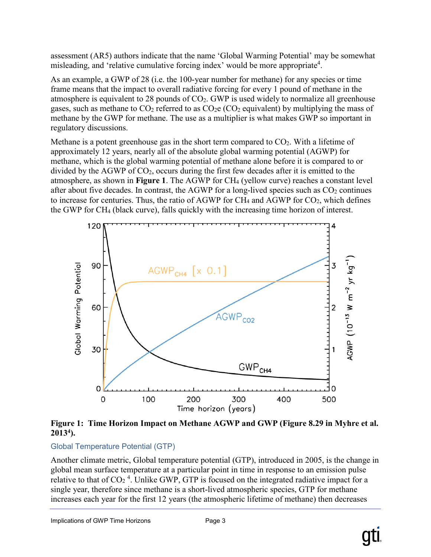assessment (AR5) authors indicate that the name 'Global Warming Potential' may be somewhat misleading, and 'relative cumulative forcing index' would be more appropriate<sup>4</sup>.

As an example, a GWP of 28 (i.e. the 100-year number for methane) for any species or time frame means that the impact to overall radiative forcing for every 1 pound of methane in the atmosphere is equivalent to 28 pounds of  $CO<sub>2</sub>$ . GWP is used widely to normalize all greenhouse gases, such as methane to  $CO_2$  referred to as  $CO_2e$  ( $CO_2$  equivalent) by multiplying the mass of methane by the GWP for methane. The use as a multiplier is what makes GWP so important in regulatory discussions.

Methane is a potent greenhouse gas in the short term compared to  $CO<sub>2</sub>$ . With a lifetime of approximately 12 years, nearly all of the absolute global warming potential (AGWP) for methane, which is the global warming potential of methane alone before it is compared to or divided by the AGWP of CO2, occurs during the first few decades after it is emitted to the atmosphere, as shown in **Figure 1**. The AGWP for CH4 (yellow curve) reaches a constant level after about five decades. In contrast, the AGWP for a long-lived species such as  $CO<sub>2</sub>$  continues to increase for centuries. Thus, the ratio of AGWP for  $CH_4$  and AGWP for  $CO_2$ , which defines the GWP for CH4 (black curve), falls quickly with the increasing time horizon of interest.



**Figure 1: Time Horizon Impact on Methane AGWP and GWP (Figure 8.29 in Myhre et al. 20134).**

## Global Temperature Potential (GTP)

Another climate metric, Global temperature potential (GTP), introduced in 2005, is the change in global mean surface temperature at a particular point in time in response to an emission pulse relative to that of CO<sub>2</sub><sup>4</sup>. Unlike GWP, GTP is focused on the integrated radiative impact for a single year, therefore since methane is a short-lived atmospheric species, GTP for methane increases each year for the first 12 years (the atmospheric lifetime of methane) then decreases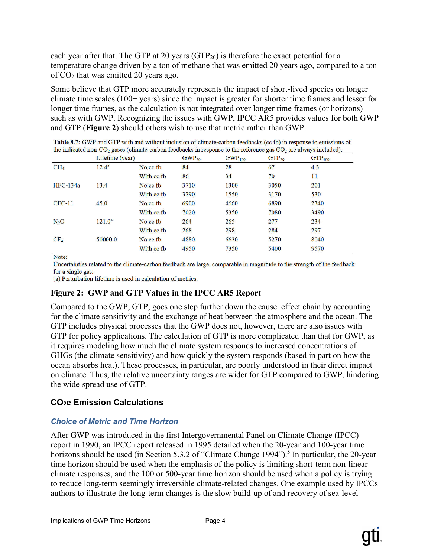each year after that. The GTP at 20 years  $(GTP<sub>20</sub>)$  is therefore the exact potential for a temperature change driven by a ton of methane that was emitted 20 years ago, compared to a ton of  $CO<sub>2</sub>$  that was emitted 20 years ago.

Some believe that GTP more accurately represents the impact of short-lived species on longer climate time scales (100+ years) since the impact is greater for shorter time frames and lesser for longer time frames, as the calculation is not integrated over longer time frames (or horizons) such as with GWP. Recognizing the issues with GWP, IPCC AR5 provides values for both GWP and GTP (**Figure 2**) should others wish to use that metric rather than GWP.

|                 | Lifetime (year) |            | $GWP_{20}$ | $GWP_{100}$ | $GTP_{20}$ | $GTP_{100}$ |
|-----------------|-----------------|------------|------------|-------------|------------|-------------|
| CH <sub>4</sub> | $12.4^{a}$      | No cc fb   | 84         | 28          | 67         | 4.3         |
|                 |                 | With cc fb | 86         | 34          | 70         | 11          |
| <b>HFC-134a</b> | 13.4            | No cc fb   | 3710       | 1300        | 3050       | 201         |
|                 |                 | With cc fb | 3790       | 1550        | 3170       | 530         |
| $CFC-11$        | 45.0            | No cc fb   | 6900       | 4660        | 6890       | 2340        |
|                 |                 | With cc fb | 7020       | 5350        | 7080       | 3490        |
| $N_2O$          | $121.0^a$       | No cc fb   | 264        | 265         | 277        | 234         |
|                 |                 | With cc fb | 268        | 298         | 284        | 297         |
| CF <sub>4</sub> | 50000.0         | No cc fb   | 4880       | 6630        | 5270       | 8040        |
|                 |                 | With cc fb | 4950       | 7350        | 5400       | 9570        |

Table 8.7: GWP and GTP with and without inclusion of climate-carbon feedbacks (cc fb) in response to emissions of the indicated non-CO<sub>2</sub> gases (climate-carbon feedbacks in response to the reference gas  $CO<sub>2</sub>$  are always included).

Note:

Uncertainties related to the climate-carbon feedback are large, comparable in magnitude to the strength of the feedback for a single gas.

(a) Perturbation lifetime is used in calculation of metrics.

## **Figure 2: GWP and GTP Values in the IPCC AR5 Report**

Compared to the GWP, GTP, goes one step further down the cause–effect chain by accounting for the climate sensitivity and the exchange of heat between the atmosphere and the ocean. The GTP includes physical processes that the GWP does not, however, there are also issues with GTP for policy applications. The calculation of GTP is more complicated than that for GWP, as it requires modeling how much the climate system responds to increased concentrations of GHGs (the climate sensitivity) and how quickly the system responds (based in part on how the ocean absorbs heat). These processes, in particular, are poorly understood in their direct impact on climate. Thus, the relative uncertainty ranges are wider for GTP compared to GWP, hindering the wide-spread use of GTP.

# **CO2e Emission Calculations**

## *Choice of Metric and Time Horizon*

After GWP was introduced in the first Intergovernmental Panel on Climate Change (IPCC) report in 1990, an IPCC report released in 1995 detailed when the 20-year and 100-year time horizons should be used (in Section 5.3.2 of "Climate Change 1994").<sup>5</sup> In particular, the 20-year time horizon should be used when the emphasis of the policy is limiting short-term non-linear climate responses, and the 100 or 500-year time horizon should be used when a policy is trying to reduce long-term seemingly irreversible climate-related changes. One example used by IPCCs authors to illustrate the long-term changes is the slow build-up of and recovery of sea-level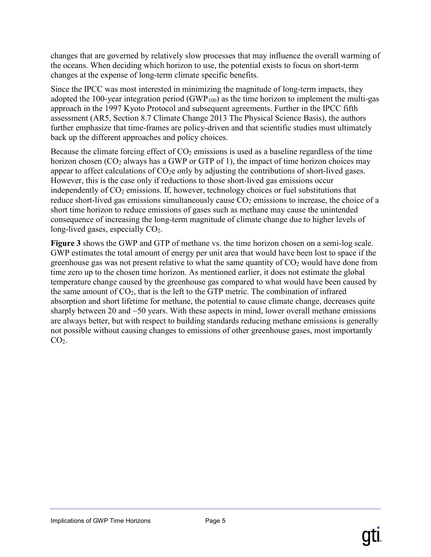changes that are governed by relatively slow processes that may influence the overall warming of the oceans. When deciding which horizon to use, the potential exists to focus on short-term changes at the expense of long-term climate specific benefits.

Since the IPCC was most interested in minimizing the magnitude of long-term impacts, they adopted the 100-year integration period  $(GWP_{100})$  as the time horizon to implement the multi-gas approach in the 1997 Kyoto Protocol and subsequent agreements. Further in the IPCC fifth assessment (AR5, Section 8.7 Climate Change 2013 The Physical Science Basis), the authors further emphasize that time-frames are policy-driven and that scientific studies must ultimately back up the different approaches and policy choices.

Because the climate forcing effect of  $CO<sub>2</sub>$  emissions is used as a baseline regardless of the time horizon chosen  $(CO_2$  always has a GWP or GTP of 1), the impact of time horizon choices may appear to affect calculations of  $CO<sub>2</sub>e$  only by adjusting the contributions of short-lived gases. However, this is the case only if reductions to those short-lived gas emissions occur independently of  $CO<sub>2</sub>$  emissions. If, however, technology choices or fuel substitutions that reduce short-lived gas emissions simultaneously cause  $CO<sub>2</sub>$  emissions to increase, the choice of a short time horizon to reduce emissions of gases such as methane may cause the unintended consequence of increasing the long-term magnitude of climate change due to higher levels of long-lived gases, especially CO<sub>2</sub>.

**Figure 3** shows the GWP and GTP of methane vs. the time horizon chosen on a semi-log scale. GWP estimates the total amount of energy per unit area that would have been lost to space if the greenhouse gas was not present relative to what the same quantity of  $CO<sub>2</sub>$  would have done from time zero up to the chosen time horizon. As mentioned earlier, it does not estimate the global temperature change caused by the greenhouse gas compared to what would have been caused by the same amount of  $CO<sub>2</sub>$ , that is the left to the GTP metric. The combination of infrared absorption and short lifetime for methane, the potential to cause climate change, decreases quite sharply between 20 and  $\sim$ 50 years. With these aspects in mind, lower overall methane emissions are always better, but with respect to building standards reducing methane emissions is generally not possible without causing changes to emissions of other greenhouse gases, most importantly  $CO<sub>2</sub>$ .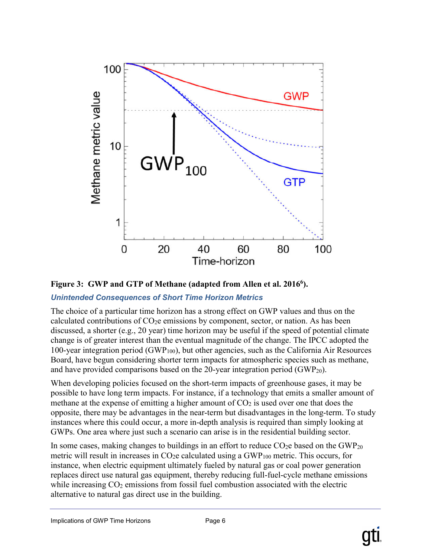



# *Unintended Consequences of Short Time Horizon Metrics*

The choice of a particular time horizon has a strong effect on GWP values and thus on the calculated contributions of  $CO<sub>2</sub>e$  emissions by component, sector, or nation. As has been discussed, a shorter (e.g., 20 year) time horizon may be useful if the speed of potential climate change is of greater interest than the eventual magnitude of the change. The IPCC adopted the 100-year integration period (GWP100), but other agencies, such as the California Air Resources Board, have begun considering shorter term impacts for atmospheric species such as methane, and have provided comparisons based on the 20-year integration period  $(GWP_{20})$ .

When developing policies focused on the short-term impacts of greenhouse gases, it may be possible to have long term impacts. For instance, if a technology that emits a smaller amount of methane at the expense of emitting a higher amount of  $CO<sub>2</sub>$  is used over one that does the opposite, there may be advantages in the near-term but disadvantages in the long-term. To study instances where this could occur, a more in-depth analysis is required than simply looking at GWPs. One area where just such a scenario can arise is in the residential building sector.

In some cases, making changes to buildings in an effort to reduce  $CO<sub>2</sub>e$  based on the GWP<sub>20</sub> metric will result in increases in  $CO<sub>2</sub>e$  calculated using a  $GWP<sub>100</sub>$  metric. This occurs, for instance, when electric equipment ultimately fueled by natural gas or coal power generation replaces direct use natural gas equipment, thereby reducing full-fuel-cycle methane emissions while increasing  $CO<sub>2</sub>$  emissions from fossil fuel combustion associated with the electric alternative to natural gas direct use in the building.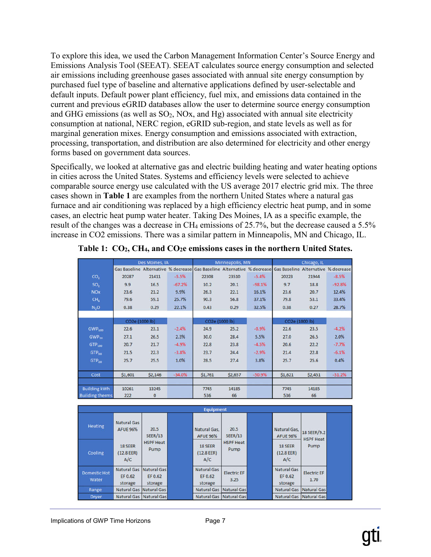To explore this idea, we used the Carbon Management Information Center's Source Energy and Emissions Analysis Tool (SEEAT). SEEAT calculates source energy consumption and selected air emissions including greenhouse gases associated with annual site energy consumption by purchased fuel type of baseline and alternative applications defined by user-selectable and default inputs. Default power plant efficiency, fuel mix, and emissions data contained in the current and previous eGRID databases allow the user to determine source energy consumption and GHG emissions (as well as  $SO_2$ , NOx, and Hg) associated with annual site electricity consumption at national, NERC region, eGRID sub-region, and state levels as well as for marginal generation mixes. Energy consumption and emissions associated with extraction, processing, transportation, and distribution are also determined for electricity and other energy forms based on government data sources.

Specifically, we looked at alternative gas and electric building heating and water heating options in cities across the United States. Systems and efficiency levels were selected to achieve comparable source energy use calculated with the US average 2017 electric grid mix. The three cases shown in **Table 1** are examples from the northern United States where a natural gas furnace and air conditioning was replaced by a high efficiency electric heat pump, and in some cases, an electric heat pump water heater. Taking Des Moines, IA as a specific example, the result of the changes was a decrease in CH<sub>4</sub> emissions of 25.7%, but the decrease caused a 5.5% increase in CO2 emissions. There was a similar pattern in Minneapolis, MN and Chicago, IL.

|                        | Des Moines, IA |              |          | Minneapolis, MN                                                                                             |         |          | Chicago, IL    |         |          |
|------------------------|----------------|--------------|----------|-------------------------------------------------------------------------------------------------------------|---------|----------|----------------|---------|----------|
|                        |                |              |          | Gas Baseline Alternative % decrease Gas Baseline Alternative % decrease Gas Baseline Alternative % decrease |         |          |                |         |          |
| CO <sub>2</sub>        | 20287          | 21411        | $-5.5%$  | 22308                                                                                                       | 23510   | $-5.4%$  | 20223          | 21944   | $-8.5%$  |
| SO <sub>2</sub>        | 9.9            | 16.5         | $-67.2%$ | 10.2                                                                                                        | 20.1    | $-98.1%$ | 9.7            | 18.8    | $-92.8%$ |
| <b>NOx</b>             | 23.6           | 21.2         | 9.9%     | 26.3                                                                                                        | 22.1    | 16.1%    | 23.6           | 20.7    | 12.4%    |
| CH <sub>2</sub>        | 79.6           | 59.1         | 25.7%    | 90.3                                                                                                        | 56.8    | 37.1%    | 79.8           | 53.1    | 33.4%    |
| N, O                   | 0.38           | 0.29         | 22.1%    | 0.43                                                                                                        | 0.29    | 32.5%    | 0.38           | 0.27    | 28.7%    |
|                        |                |              |          |                                                                                                             |         |          |                |         |          |
|                        | CO2e (1000 lb) |              |          | CO2e (1000 lb)                                                                                              |         |          | CO2e (1000 lb) |         |          |
| $GWP_{100}$            | 22.6           | 23.1         | $-2.4%$  | 24.9                                                                                                        | 25.2    | $-0.9%$  | 22.6           | 23.5    | $-4.2%$  |
| $GWP_{20}$             | 27.1           | 26.5         | 2.3%     | 30.0                                                                                                        | 28.4    | 5.5%     | 27.0           | 26.5    | 2.0%     |
| GTP <sub>100</sub>     | 20.7           | 21.7         | $-4.9%$  | 22.8                                                                                                        | 23.8    | $-4.5%$  | 20.6           | 22.2    | $-7.7%$  |
| GTP <sub>so</sub>      | 21.5           | 22.3         | $-3.8%$  | 23.7                                                                                                        | 24.4    | $-2.9%$  | 21.4           | 22.8    | $-6.1%$  |
| $GTP_{20}$             | 25.7           | 25.5         | 1.0%     | 28.5                                                                                                        | 27.4    | 3.8%     | 25.7           | 25.6    | 0.4%     |
|                        |                |              |          |                                                                                                             |         |          |                |         |          |
| Cost                   | \$1,601        | \$2,146      | $-34.0%$ | \$1,761                                                                                                     | \$2,657 | $-50.9%$ | \$1,621        | \$2,451 | $-51.2%$ |
| <b>Building kWh</b>    | 10261          | 13245        |          | 7745                                                                                                        | 14185   |          | 7745           | 14185   |          |
| <b>Building therms</b> | 222            | $\mathbf{0}$ |          | 536                                                                                                         | 66      |          | 536            | 66      |          |

**Table 1: CO2, CH4, and CO2e emissions cases in the northern United States.**

|                              |                                          |                                   | <b>Equipment</b>                         |                                  |                                          |                                 |
|------------------------------|------------------------------------------|-----------------------------------|------------------------------------------|----------------------------------|------------------------------------------|---------------------------------|
| Heating                      | <b>Natural Gas</b><br><b>AFUE 96%</b>    | 20.5<br><b>SEER/13</b>            | Natural Gas.<br><b>AFUE 96%</b>          | 20.5<br><b>SEER/13</b>           | Natural Gas,<br><b>AFUE 96%</b>          | 18 SEER/9.2<br><b>HSPF Heat</b> |
| Cooling                      | <b>18 SEER</b><br>(12.8 EER)<br>A/C      | <b>HSPF Heat</b><br>Pump          | 18 SEER<br>(12.8 EER)<br>A/C             | <b>HSPF Heat</b><br>Pump         | 18 SEER<br>(12.8 EER)<br>A/C             | Pump                            |
| <b>Domestic Hot</b><br>Water | <b>Natural Gas</b><br>EF 0.62<br>storage | Natural Gas<br>EF 0.62<br>storage | <b>Natural Gas</b><br>EF 0.62<br>storage | <b>Electric EF</b><br>3.25       | <b>Natural Gas</b><br>EF 0.62<br>storage | <b>Electric EF</b><br>1.70      |
| Range                        | <b>Natural Gas</b>                       | Natural Gas                       | <b>Natural Gas</b>                       | Natural Gas                      | <b>Natural Gas</b>                       | <b>Natural Gas</b>              |
| <b>Dryer</b>                 |                                          | Natural Gas Natural Gas           |                                          | <b>Natural Gas   Natural Gas</b> |                                          | Natural Gas   Natural Gas       |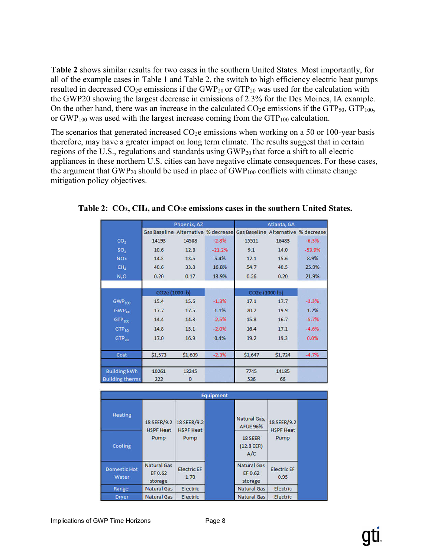**Table 2** shows similar results for two cases in the southern United States. Most importantly, for all of the example cases in Table 1 and Table 2, the switch to high efficiency electric heat pumps resulted in decreased  $CO_2e$  emissions if the GWP<sub>20</sub> or GTP<sub>20</sub> was used for the calculation with the GWP20 showing the largest decrease in emissions of 2.3% for the Des Moines, IA example. On the other hand, there was an increase in the calculated  $CO<sub>2</sub>e$  emissions if the GTP<sub>50</sub>, GTP<sub>100</sub>, or  $GWP<sub>100</sub>$  was used with the largest increase coming from the  $GTP<sub>100</sub>$  calculation.

The scenarios that generated increased  $CO<sub>2</sub>e$  emissions when working on a 50 or 100-year basis therefore, may have a greater impact on long term climate. The results suggest that in certain regions of the U.S., regulations and standards using  $GWP_{20}$  that force a shift to all electric appliances in these northern U.S. cities can have negative climate consequences. For these cases, the argument that  $GWP_{20}$  should be used in place of  $GWP_{100}$  conflicts with climate change mitigation policy objectives.

|                        |                | Phoenix, AZ  |          | Atlanta, GA                                                             |               |          |  |
|------------------------|----------------|--------------|----------|-------------------------------------------------------------------------|---------------|----------|--|
|                        |                |              |          | Gas Baseline Alternative % decrease Gas Baseline Alternative % decrease |               |          |  |
| CO <sub>2</sub>        | 14193          | 14588        | $-2.8%$  | 15511                                                                   | 16483         | $-6.3%$  |  |
| SO <sub>2</sub>        | 10.6           | 12.8         | $-21.2%$ | 9.1                                                                     | 14.0          | $-53.9%$ |  |
| <b>NOx</b>             | 14.3           | 13.5         | 5.4%     | 17.1                                                                    | 15.6          | 8.9%     |  |
| CH <sub>a</sub>        | 40.6           | 33.8         | 16.8%    | 54.7                                                                    | 40.5          | 25.9%    |  |
| N <sub>2</sub> O       | 0.20           | 0.17         | 13.9%    | 0.26                                                                    | 0.20          | 21.9%    |  |
|                        |                |              |          |                                                                         |               |          |  |
|                        | CO2e (1000 lb) |              |          | CO2e (1000 lb)                                                          |               |          |  |
| GWP <sub>100</sub>     | 15.4           | 15.6         | $-1.3%$  | 17.1                                                                    | 17.7          | $-3.3%$  |  |
| $GWP_{20}$             | 17.7           | 17.5         | 1.1%     | 20.2                                                                    | 19.9          | 1.2%     |  |
| $GTP_{100}$            | 14.4           | 14.8         | $-2.5%$  | 15.8                                                                    | 16.7          | $-5.7%$  |  |
| GTP <sub>so</sub>      | 14.8           | 15.1         | $-2.0%$  | 16.4                                                                    | 17.1          | $-4.6%$  |  |
| $GTP_{20}$             | 17.0           | 16.9         | 0.4%     | 19.2                                                                    | 19.3          | 0.0%     |  |
|                        |                |              |          |                                                                         |               |          |  |
| Cost                   | \$1,573        | \$1,609      | $-2.3%$  | \$1,647                                                                 | <b>S1,724</b> | $-4.7%$  |  |
| <b>Building kWh</b>    | 10261          | 13245        |          | 7745                                                                    | 14185         |          |  |
| <b>Building therms</b> | 222            | $\mathbf{0}$ |          | 536                                                                     | 66            |          |  |

**Table 2: CO2, CH4, and CO2e emissions cases in the southern United States.**

| <b>Equipment</b>             |                                          |                                 |  |                                          |                            |  |  |  |
|------------------------------|------------------------------------------|---------------------------------|--|------------------------------------------|----------------------------|--|--|--|
| <b>Heating</b>               | 18 SEER/9.2<br><b>HSPF Heat</b><br>Pump  | 18 SEER/9.2<br><b>HSPF Heat</b> |  | Natural Gas,<br><b>AFUE 96%</b>          | 18 SEER/9.2                |  |  |  |
| Cooling                      |                                          | Pump                            |  | <b>18 SEER</b><br>(12.8 EER)<br>A/C      | <b>HSPF Heat</b><br>Pump   |  |  |  |
| <b>Domestic Hot</b><br>Water | <b>Natural Gas</b><br>EF 0.62<br>storage | <b>Electric EF</b><br>1.70      |  | <b>Natural Gas</b><br>EF 0.62<br>storage | <b>Electric EF</b><br>0.95 |  |  |  |
| Range                        | <b>Natural Gas</b>                       | Electric                        |  | <b>Natural Gas</b>                       | Electric                   |  |  |  |
| <b>Dryer</b>                 | <b>Natural Gas</b>                       | Electric                        |  | <b>Natural Gas</b>                       | Electric                   |  |  |  |